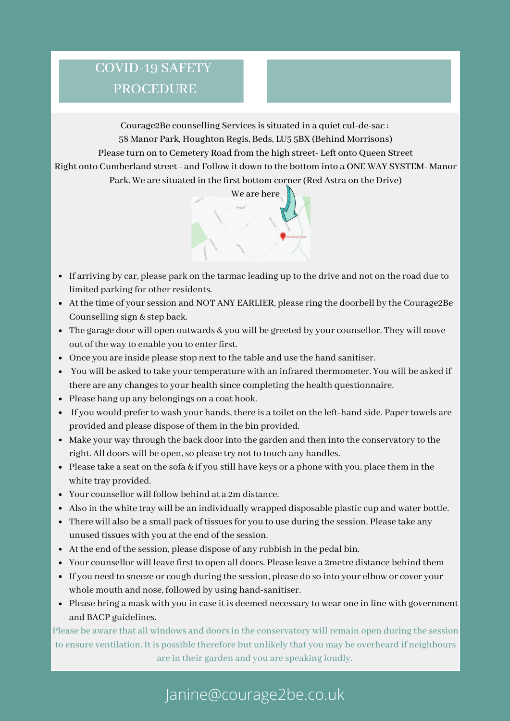### COVID-19 SAFETY PROCEDURE

Courage2Be counselling Services is situated in a quiet cul-de-sac : 58 Manor Park, Houghton Regis, Beds, LU5 5BX (Behind Morrisons) Please turn on to Cemetery Road from the high street- Left onto Queen Street Right onto Cumberland street - and Follow it down to the bottom into a ONE WAY SYSTEM- Manor Park. We are situated in the first bottom corner(Red Astra on the Drive)



- If arriving by car, please park on the tarmac leading up to the drive and not on the road due to limited parking for other residents.
- At the time of yoursession and NOT ANY EARLIER, please ring the doorbell by the Courage2Be Counselling sign & step back.
- The garage door will open outwards & you will be greeted by your counsellor. They will move out of the way to enable you to enter first.
- Once you are inside please stop next to the table and use the hand sanitiser.
- You will be asked to take your temperature with an infrared thermometer. You will be asked if there are any changes to your health since completing the health questionnaire.
- Please hang up any belongings on a coat hook.
- If you would prefer to wash your hands, there is a toilet on the left-hand side. Paper towels are provided and please dispose of them in the bin provided.
- Make your way through the back doorinto the garden and then into the conservatory to the right. All doors will be open, so please try not to touch any handles.
- Please take a seat on the sofa  $&$  if you still have keys or a phone with you, place them in the white tray provided.
- Your counsellor will follow behind at a 2m distance.
- Also in the white tray will be an individually wrapped disposable plastic cup and water bottle.
- There will also be a small pack of tissues for you to use during the session. Please take any unused tissues with you at the end of the session.
- At the end of the session, please dispose of any rubbish in the pedal bin.
- Your counsellor will leave first to open all doors. Please leave a 2metre distance behind them
- If you need to sneeze or cough during the session, please do so into your elbow or cover your whole mouth and nose, followed by using hand-sanitiser.
- Please bring a mask with you in case it is deemed necessary to wear one in line with government and BACP guidelines.

Please be aware that all windows and doors in the conservatory will remain open during the session to ensure ventilation. It is possible therefore but unlikely that you may be overheard if neighbours are in their garden and you are speaking loudly.

## Janine@courage2be.co.uk